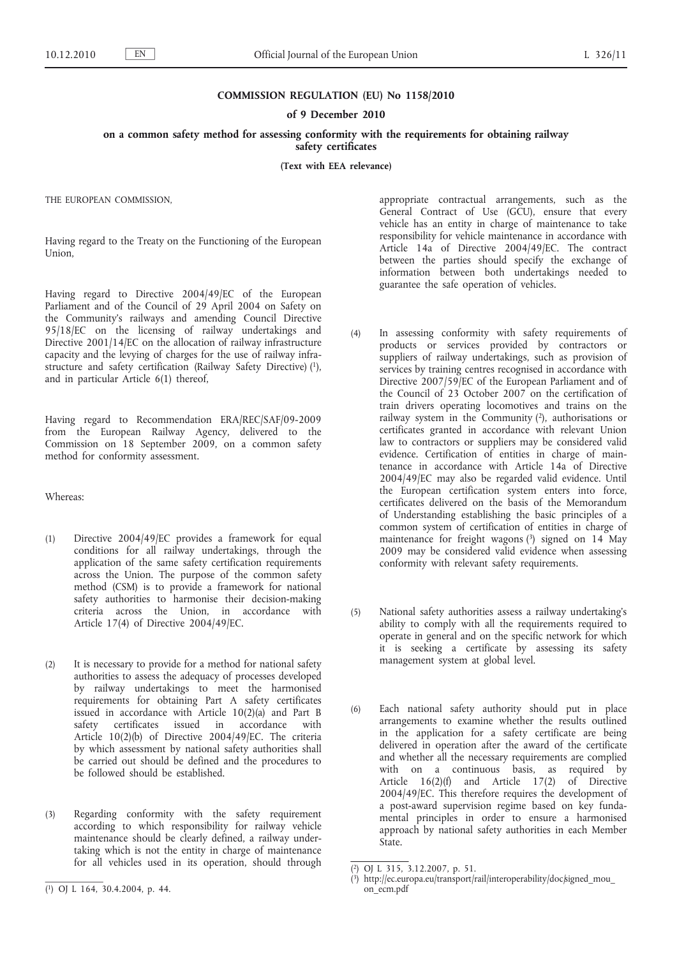# **COMMISSION REGULATION (EU) No 1158/2010**

## **of 9 December 2010**

**on a common safety method for assessing conformity with the requirements for obtaining railway safety certificates**

**(Text with EEA relevance)**

THE EUROPEAN COMMISSION,

Having regard to the Treaty on the Functioning of the European Union,

Having regard to Directive 2004/49/EC of the European Parliament and of the Council of 29 April 2004 on Safety on the Community's railways and amending Council Directive 95/18/EC on the licensing of railway undertakings and Directive 2001/14/EC on the allocation of railway infrastructure capacity and the levying of charges for the use of railway infrastructure and safety certification (Railway Safety Directive) (1), and in particular Article 6(1) thereof,

Having regard to Recommendation ERA/REC/SAF/09-2009 from the European Railway Agency, delivered to the Commission on 18 September 2009, on a common safety method for conformity assessment.

## Whereas:

- (1) Directive 2004/49/EC provides a framework for equal conditions for all railway undertakings, through the application of the same safety certification requirements across the Union. The purpose of the common safety method (CSM) is to provide a framework for national safety authorities to harmonise their decision-making criteria across the Union, in accordance with Article 17(4) of Directive 2004/49/EC.
- (2) It is necessary to provide for a method for national safety authorities to assess the adequacy of processes developed by railway undertakings to meet the harmonised requirements for obtaining Part A safety certificates issued in accordance with Article 10(2)(a) and Part B safety certificates issued in accordance with Article 10(2)(b) of Directive 2004/49/EC. The criteria by which assessment by national safety authorities shall be carried out should be defined and the procedures to be followed should be established.
- (3) Regarding conformity with the safety requirement according to which responsibility for railway vehicle maintenance should be clearly defined, a railway undertaking which is not the entity in charge of maintenance for all vehicles used in its operation, should through

appropriate contractual arrangements, such as the General Contract of Use (GCU), ensure that every vehicle has an entity in charge of maintenance to take responsibility for vehicle maintenance in accordance with Article 14a of Directive 2004/49/EC. The contract between the parties should specify the exchange of information between both undertakings needed to guarantee the safe operation of vehicles.

- (4) In assessing conformity with safety requirements of products or services provided by contractors or suppliers of railway undertakings, such as provision of services by training centres recognised in accordance with Directive 2007/59/EC of the European Parliament and of the Council of 23 October 2007 on the certification of train drivers operating locomotives and trains on the railway system in the Community (2), authorisations or certificates granted in accordance with relevant Union law to contractors or suppliers may be considered valid evidence. Certification of entities in charge of maintenance in accordance with Article 14a of Directive 2004/49/EC may also be regarded valid evidence. Until the European certification system enters into force, certificates delivered on the basis of the Memorandum of Understanding establishing the basic principles of a common system of certification of entities in charge of maintenance for freight wagons (3) signed on 14 May 2009 may be considered valid evidence when assessing conformity with relevant safety requirements.
- (5) National safety authorities assess a railway undertaking's ability to comply with all the requirements required to operate in general and on the specific network for which it is seeking a certificate by assessing its safety management system at global level.
- (6) Each national safety authority should put in place arrangements to examine whether the results outlined in the application for a safety certificate are being delivered in operation after the award of the certificate and whether all the necessary requirements are complied with on a continuous basis, as required by Article 16(2)(f) and Article 17(2) of Directive 2004/49/EC. This therefore requires the development of a post-award supervision regime based on key fundamental principles in order to ensure a harmonised approach by national safety authorities in each Member State.

<sup>(</sup> 1) OJ L 164, 30.4.2004, p. 44.

<sup>(</sup> 2) OJ L 315, 3.12.2007, p. 51.

<sup>(3)</sup> [http://ec.europa.eu/transport/rail/interoperability/doc/signed\\_mou\\_](http://ec.europa.eu/transport/rail/interoperability/doc/signed_mou_on_ecm.pdf) [on\\_ecm.pdf](http://ec.europa.eu/transport/rail/interoperability/doc/signed_mou_on_ecm.pdf)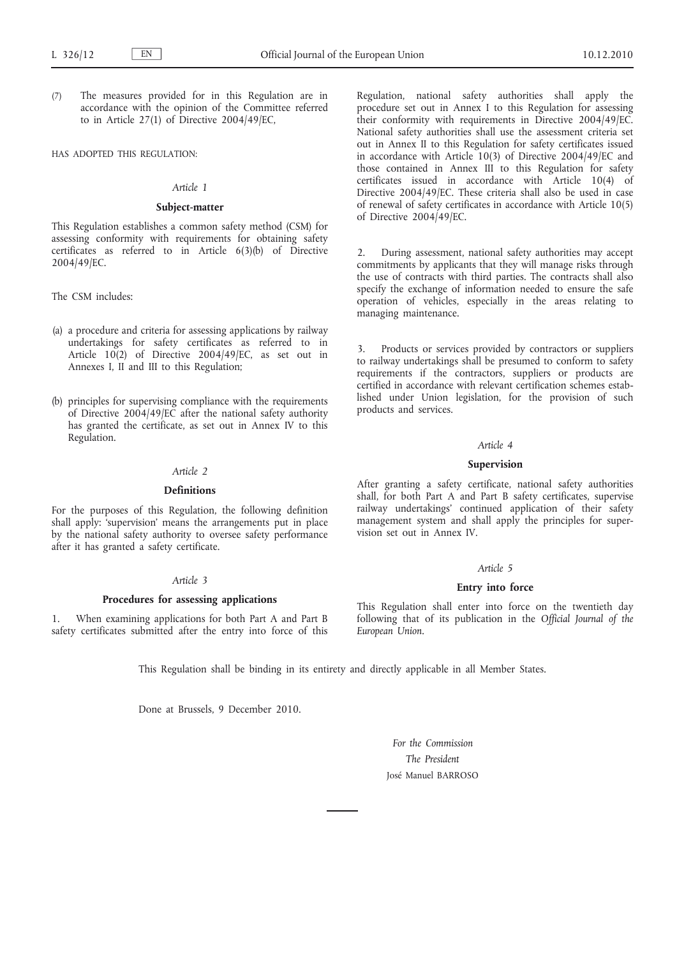(7) The measures provided for in this Regulation are in accordance with the opinion of the Committee referred to in Article 27(1) of Directive 2004/49/EC,

#### HAS ADOPTED THIS REGULATION:

## *Article 1*

## **Subject-matter**

This Regulation establishes a common safety method (CSM) for assessing conformity with requirements for obtaining safety certificates as referred to in Article 6(3)(b) of Directive 2004/49/EC.

The CSM includes:

- (a) a procedure and criteria for assessing applications by railway undertakings for safety certificates as referred to in Article 10(2) of Directive 2004/49/EC, as set out in Annexes I, II and III to this Regulation;
- (b) principles for supervising compliance with the requirements of Directive 2004/49/EC after the national safety authority has granted the certificate, as set out in Annex IV to this Regulation.

## *Article 2*

### **Definitions**

For the purposes of this Regulation, the following definition shall apply: 'supervision' means the arrangements put in place by the national safety authority to oversee safety performance after it has granted a safety certificate.

## *Article 3*

## **Procedures for assessing applications**

1. When examining applications for both Part A and Part B safety certificates submitted after the entry into force of this Regulation, national safety authorities shall apply the procedure set out in Annex I to this Regulation for assessing their conformity with requirements in Directive 2004/49/EC. National safety authorities shall use the assessment criteria set out in Annex II to this Regulation for safety certificates issued in accordance with Article 10(3) of Directive 2004/49/EC and those contained in Annex III to this Regulation for safety certificates issued in accordance with Article 10(4) of Directive 2004/49/EC. These criteria shall also be used in case of renewal of safety certificates in accordance with Article 10(5) of Directive 2004/49/EC.

2. During assessment, national safety authorities may accept commitments by applicants that they will manage risks through the use of contracts with third parties. The contracts shall also specify the exchange of information needed to ensure the safe operation of vehicles, especially in the areas relating to managing maintenance.

Products or services provided by contractors or suppliers to railway undertakings shall be presumed to conform to safety requirements if the contractors, suppliers or products are certified in accordance with relevant certification schemes established under Union legislation, for the provision of such products and services.

## *Article 4*

## **Supervision**

After granting a safety certificate, national safety authorities shall, for both Part A and Part B safety certificates, supervise railway undertakings' continued application of their safety management system and shall apply the principles for supervision set out in Annex IV.

#### *Article 5*

## **Entry into force**

This Regulation shall enter into force on the twentieth day following that of its publication in the *Official Journal of the European Union*.

This Regulation shall be binding in its entirety and directly applicable in all Member States.

Done at Brussels, 9 December 2010.

*For the Commission The President* José Manuel BARROSO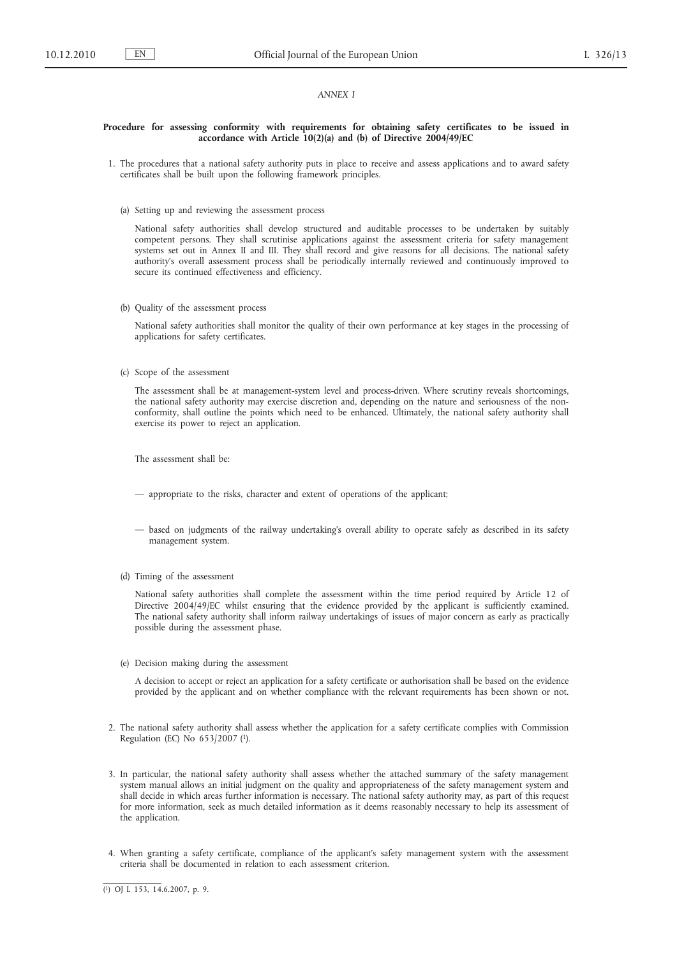## *ANNEX I*

## **Procedure for assessing conformity with requirements for obtaining safety certificates to be issued in accordance with Article 10(2)(a) and (b) of Directive 2004/49/EC**

- 1. The procedures that a national safety authority puts in place to receive and assess applications and to award safety certificates shall be built upon the following framework principles.
	- (a) Setting up and reviewing the assessment process

National safety authorities shall develop structured and auditable processes to be undertaken by suitably competent persons. They shall scrutinise applications against the assessment criteria for safety management systems set out in Annex II and III. They shall record and give reasons for all decisions. The national safety authority's overall assessment process shall be periodically internally reviewed and continuously improved to secure its continued effectiveness and efficiency.

(b) Quality of the assessment process

National safety authorities shall monitor the quality of their own performance at key stages in the processing of applications for safety certificates.

(c) Scope of the assessment

The assessment shall be at management-system level and process-driven. Where scrutiny reveals shortcomings, the national safety authority may exercise discretion and, depending on the nature and seriousness of the nonconformity, shall outline the points which need to be enhanced. Ultimately, the national safety authority shall exercise its power to reject an application.

The assessment shall be:

- appropriate to the risks, character and extent of operations of the applicant;
- based on judgments of the railway undertaking's overall ability to operate safely as described in its safety management system.
- (d) Timing of the assessment

National safety authorities shall complete the assessment within the time period required by Article 12 of Directive 2004/49/EC whilst ensuring that the evidence provided by the applicant is sufficiently examined. The national safety authority shall inform railway undertakings of issues of major concern as early as practically possible during the assessment phase.

(e) Decision making during the assessment

A decision to accept or reject an application for a safety certificate or authorisation shall be based on the evidence provided by the applicant and on whether compliance with the relevant requirements has been shown or not.

- 2. The national safety authority shall assess whether the application for a safety certificate complies with Commission Regulation (EC) No 653/2007 (1).
- 3. In particular, the national safety authority shall assess whether the attached summary of the safety management system manual allows an initial judgment on the quality and appropriateness of the safety management system and shall decide in which areas further information is necessary. The national safety authority may, as part of this request for more information, seek as much detailed information as it deems reasonably necessary to help its assessment of the application.
- 4. When granting a safety certificate, compliance of the applicant's safety management system with the assessment criteria shall be documented in relation to each assessment criterion.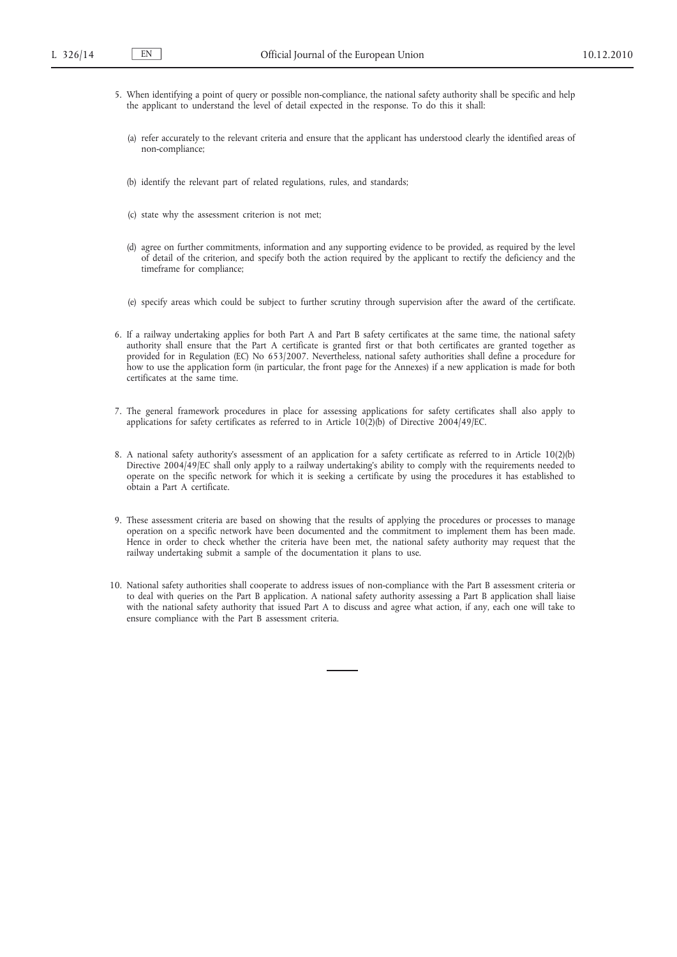- 5. When identifying a point of query or possible non-compliance, the national safety authority shall be specific and help the applicant to understand the level of detail expected in the response. To do this it shall:
	- (a) refer accurately to the relevant criteria and ensure that the applicant has understood clearly the identified areas of non-compliance;
	- (b) identify the relevant part of related regulations, rules, and standards;
	- (c) state why the assessment criterion is not met;
	- (d) agree on further commitments, information and any supporting evidence to be provided, as required by the level of detail of the criterion, and specify both the action required by the applicant to rectify the deficiency and the timeframe for compliance;
	- (e) specify areas which could be subject to further scrutiny through supervision after the award of the certificate.
- 6. If a railway undertaking applies for both Part A and Part B safety certificates at the same time, the national safety authority shall ensure that the Part A certificate is granted first or that both certificates are granted together as provided for in Regulation (EC) No 653/2007. Nevertheless, national safety authorities shall define a procedure for how to use the application form (in particular, the front page for the Annexes) if a new application is made for both certificates at the same time.
- 7. The general framework procedures in place for assessing applications for safety certificates shall also apply to applications for safety certificates as referred to in Article 10(2)(b) of Directive 2004/49/EC.
- 8. A national safety authority's assessment of an application for a safety certificate as referred to in Article 10(2)(b) Directive 2004/49/EC shall only apply to a railway undertaking's ability to comply with the requirements needed to operate on the specific network for which it is seeking a certificate by using the procedures it has established to obtain a Part A certificate.
- 9. These assessment criteria are based on showing that the results of applying the procedures or processes to manage operation on a specific network have been documented and the commitment to implement them has been made. Hence in order to check whether the criteria have been met, the national safety authority may request that the railway undertaking submit a sample of the documentation it plans to use.
- 10. National safety authorities shall cooperate to address issues of non-compliance with the Part B assessment criteria or to deal with queries on the Part B application. A national safety authority assessing a Part B application shall liaise with the national safety authority that issued Part A to discuss and agree what action, if any, each one will take to ensure compliance with the Part B assessment criteria.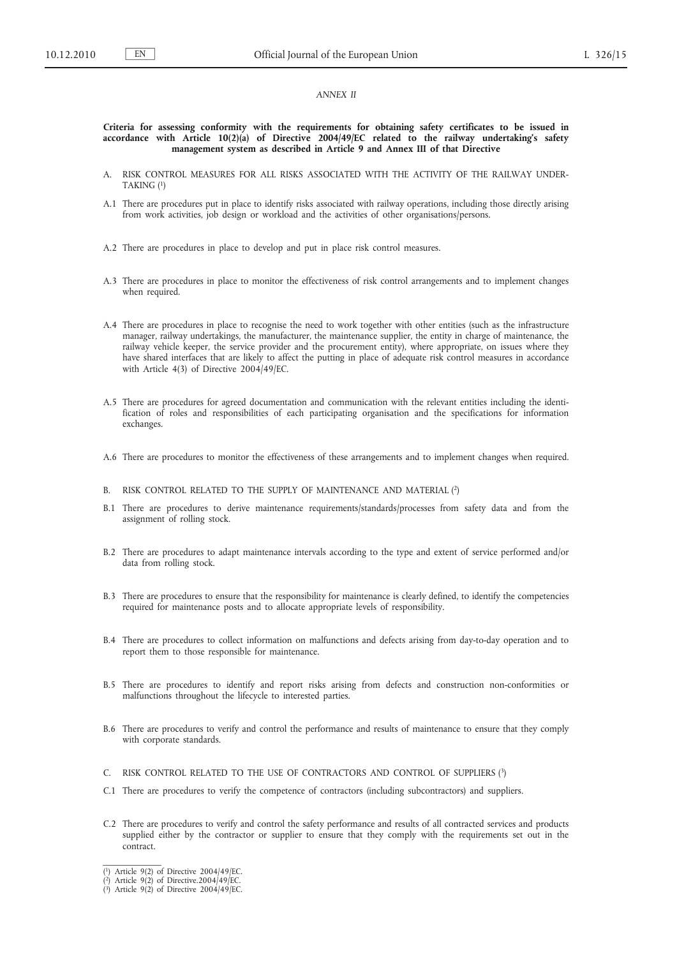#### *ANNEX II*

#### **Criteria for assessing conformity with the requirements for obtaining safety certificates to be issued in accordance with Article 10(2)(a) of Directive 2004/49/EC related to the railway undertaking's safety management system as described in Article 9 and Annex III of that Directive**

- A. RISK CONTROL MEASURES FOR ALL RISKS ASSOCIATED WITH THE ACTIVITY OF THE RAILWAY UNDER-TAKING (1)
- A.1 There are procedures put in place to identify risks associated with railway operations, including those directly arising from work activities, job design or workload and the activities of other organisations/persons.
- A.2 There are procedures in place to develop and put in place risk control measures.
- A.3 There are procedures in place to monitor the effectiveness of risk control arrangements and to implement changes when required.
- A.4 There are procedures in place to recognise the need to work together with other entities (such as the infrastructure manager, railway undertakings, the manufacturer, the maintenance supplier, the entity in charge of maintenance, the railway vehicle keeper, the service provider and the procurement entity), where appropriate, on issues where they have shared interfaces that are likely to affect the putting in place of adequate risk control measures in accordance with Article 4(3) of Directive 2004/49/EC.
- A.5 There are procedures for agreed documentation and communication with the relevant entities including the identification of roles and responsibilities of each participating organisation and the specifications for information exchanges.
- A.6 There are procedures to monitor the effectiveness of these arrangements and to implement changes when required.
- B. RISK CONTROL RELATED TO THE SUPPLY OF MAINTENANCE AND MATERIAL (2)
- B.1 There are procedures to derive maintenance requirements/standards/processes from safety data and from the assignment of rolling stock.
- B.2 There are procedures to adapt maintenance intervals according to the type and extent of service performed and/or data from rolling stock.
- B.3 There are procedures to ensure that the responsibility for maintenance is clearly defined, to identify the competencies required for maintenance posts and to allocate appropriate levels of responsibility.
- B.4 There are procedures to collect information on malfunctions and defects arising from day-to-day operation and to report them to those responsible for maintenance.
- B.5 There are procedures to identify and report risks arising from defects and construction non-conformities or malfunctions throughout the lifecycle to interested parties.
- B.6 There are procedures to verify and control the performance and results of maintenance to ensure that they comply with corporate standards.
- C. RISK CONTROL RELATED TO THE USE OF CONTRACTORS AND CONTROL OF SUPPLIERS (3)
- C.1 There are procedures to verify the competence of contractors (including subcontractors) and suppliers.
- C.2 There are procedures to verify and control the safety performance and results of all contracted services and products supplied either by the contractor or supplier to ensure that they comply with the requirements set out in the contract.

<sup>(</sup> 1) Article 9(2) of Directive 2004/49/EC.

<sup>(</sup> 2) Article 9(2) of Directive.2004/49/EC.

<sup>(</sup> 3) Article 9(2) of Directive 2004/49/EC.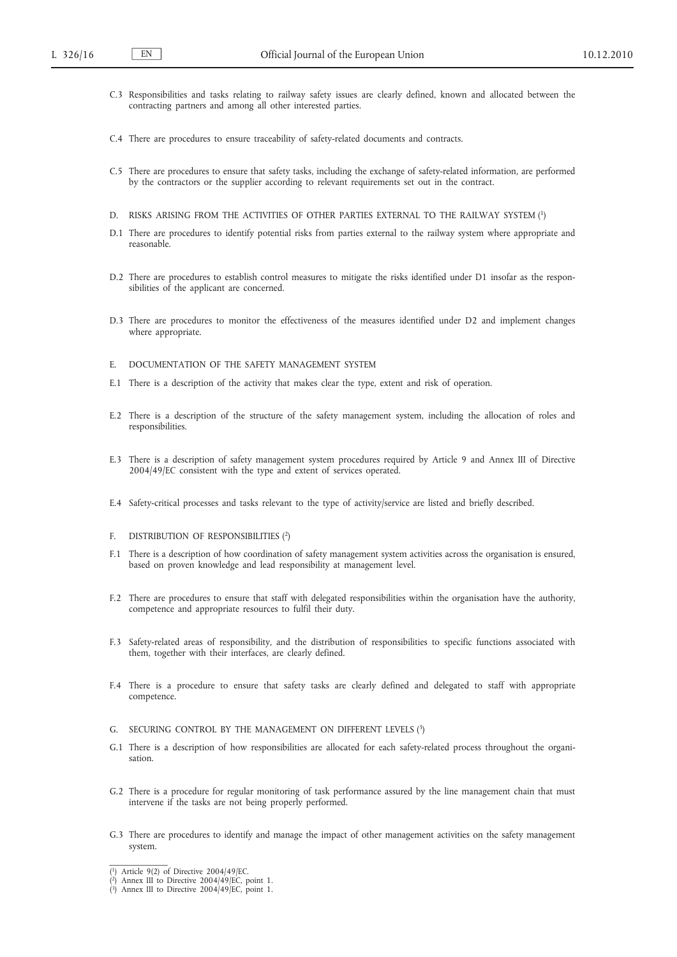- C.3 Responsibilities and tasks relating to railway safety issues are clearly defined, known and allocated between the contracting partners and among all other interested parties.
- C.4 There are procedures to ensure traceability of safety-related documents and contracts.
- C.5 There are procedures to ensure that safety tasks, including the exchange of safety-related information, are performed by the contractors or the supplier according to relevant requirements set out in the contract.
- D. RISKS ARISING FROM THE ACTIVITIES OF OTHER PARTIES EXTERNAL TO THE RAILWAY SYSTEM (1)
- D.1 There are procedures to identify potential risks from parties external to the railway system where appropriate and reasonable.
- D.2 There are procedures to establish control measures to mitigate the risks identified under D1 insofar as the responsibilities of the applicant are concerned.
- D.3 There are procedures to monitor the effectiveness of the measures identified under D2 and implement changes where appropriate.
- E. DOCUMENTATION OF THE SAFETY MANAGEMENT SYSTEM
- E.1 There is a description of the activity that makes clear the type, extent and risk of operation.
- E.2 There is a description of the structure of the safety management system, including the allocation of roles and responsibilities.
- E.3 There is a description of safety management system procedures required by Article 9 and Annex III of Directive 2004/49/EC consistent with the type and extent of services operated.
- E.4 Safety-critical processes and tasks relevant to the type of activity/service are listed and briefly described.
- F. DISTRIBUTION OF RESPONSIBILITIES (2)
- F.1 There is a description of how coordination of safety management system activities across the organisation is ensured, based on proven knowledge and lead responsibility at management level.
- F.2 There are procedures to ensure that staff with delegated responsibilities within the organisation have the authority, competence and appropriate resources to fulfil their duty.
- F.3 Safety-related areas of responsibility, and the distribution of responsibilities to specific functions associated with them, together with their interfaces, are clearly defined.
- F.4 There is a procedure to ensure that safety tasks are clearly defined and delegated to staff with appropriate competence.
- G. SECURING CONTROL BY THE MANAGEMENT ON DIFFERENT LEVELS (3)
- G.1 There is a description of how responsibilities are allocated for each safety-related process throughout the organisation.
- G.2 There is a procedure for regular monitoring of task performance assured by the line management chain that must intervene if the tasks are not being properly performed.
- G.3 There are procedures to identify and manage the impact of other management activities on the safety management system.

<sup>(</sup> 1) Article 9(2) of Directive 2004/49/EC.

<sup>(</sup> 2) Annex III to Directive 2004/49/EC, point 1. ( 3) Annex III to Directive 2004/49/EC, point 1.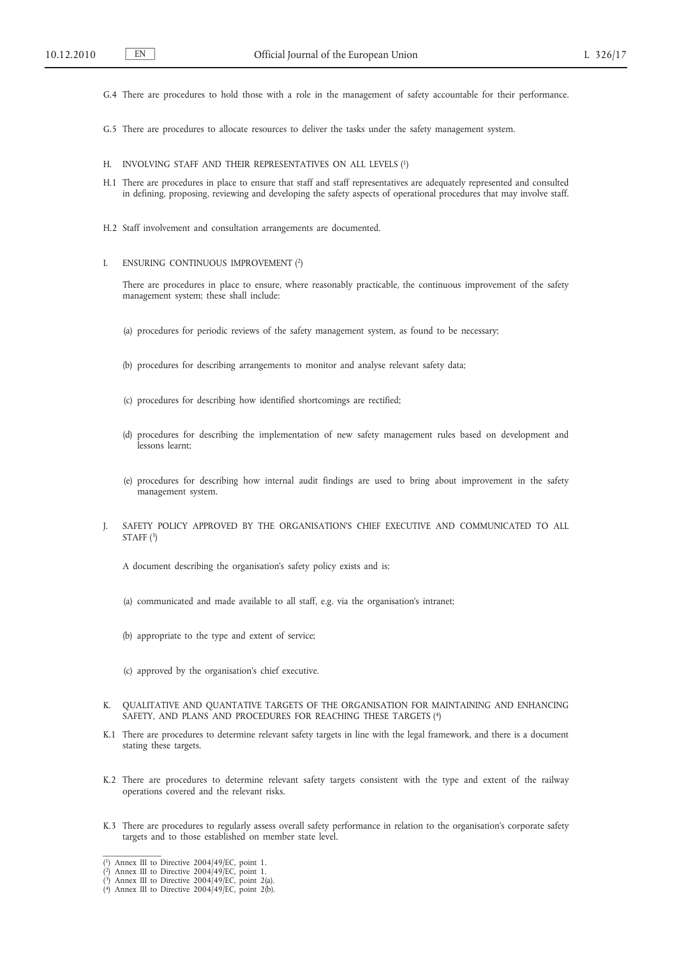- G.4 There are procedures to hold those with a role in the management of safety accountable for their performance.
- G.5 There are procedures to allocate resources to deliver the tasks under the safety management system.
- H. INVOLVING STAFF AND THEIR REPRESENTATIVES ON ALL LEVELS (1)
- H.1 There are procedures in place to ensure that staff and staff representatives are adequately represented and consulted in defining, proposing, reviewing and developing the safety aspects of operational procedures that may involve staff.
- H.2 Staff involvement and consultation arrangements are documented.
- I. ENSURING CONTINUOUS IMPROVEMENT (2)

There are procedures in place to ensure, where reasonably practicable, the continuous improvement of the safety management system; these shall include:

- (a) procedures for periodic reviews of the safety management system, as found to be necessary;
- (b) procedures for describing arrangements to monitor and analyse relevant safety data;
- (c) procedures for describing how identified shortcomings are rectified;
- (d) procedures for describing the implementation of new safety management rules based on development and lessons learnt;
- (e) procedures for describing how internal audit findings are used to bring about improvement in the safety management system.
- J. SAFETY POLICY APPROVED BY THE ORGANISATION'S CHIEF EXECUTIVE AND COMMUNICATED TO ALL STAFF (3)
	- A document describing the organisation's safety policy exists and is:
	- (a) communicated and made available to all staff, e.g. via the organisation's intranet;
	- (b) appropriate to the type and extent of service;
	- (c) approved by the organisation's chief executive.
- K. QUALITATIVE AND QUANTATIVE TARGETS OF THE ORGANISATION FOR MAINTAINING AND ENHANCING SAFETY, AND PLANS AND PROCEDURES FOR REACHING THESE TARGETS (4)
- K.1 There are procedures to determine relevant safety targets in line with the legal framework, and there is a document stating these targets.
- K.2 There are procedures to determine relevant safety targets consistent with the type and extent of the railway operations covered and the relevant risks.
- K.3 There are procedures to regularly assess overall safety performance in relation to the organisation's corporate safety targets and to those established on member state level.

<sup>(</sup> 1) Annex III to Directive 2004/49/EC, point 1.

<sup>(</sup> 2) Annex III to Directive 2004/49/EC, point 1. ( 3) Annex III to Directive 2004/49/EC, point 2(a). ( 4) Annex III to Directive 2004/49/EC, point 2(b).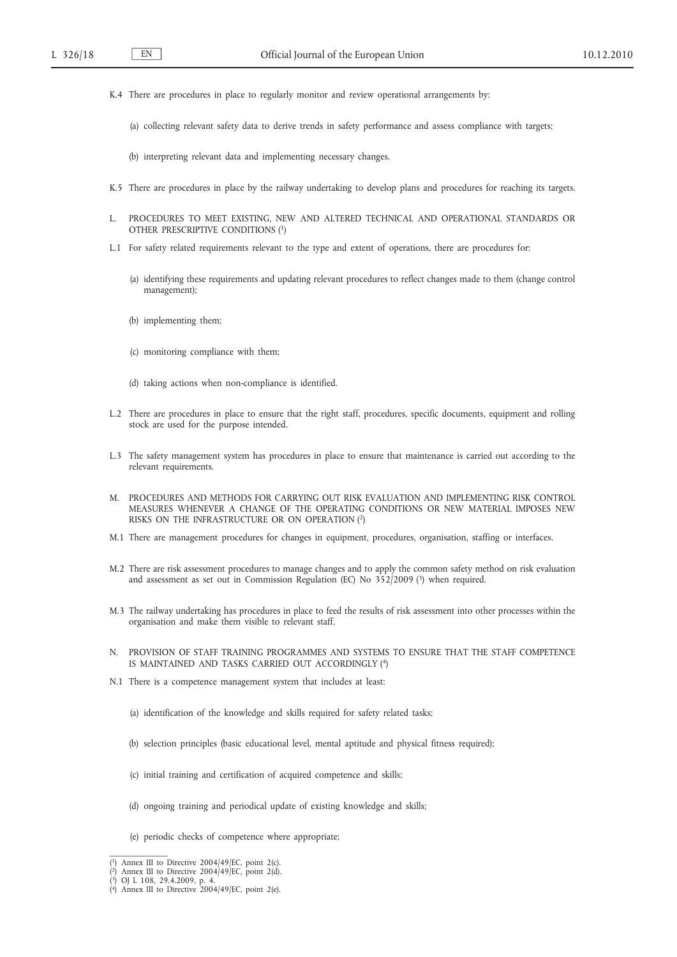- K.4 There are procedures in place to regularly monitor and review operational arrangements by:
	- (a) collecting relevant safety data to derive trends in safety performance and assess compliance with targets;
	- (b) interpreting relevant data and implementing necessary changes.
- K.5 There are procedures in place by the railway undertaking to develop plans and procedures for reaching its targets.
- L. PROCEDURES TO MEET EXISTING, NEW AND ALTERED TECHNICAL AND OPERATIONAL STANDARDS OR OTHER PRESCRIPTIVE CONDITIONS (1)
- L.1 For safety related requirements relevant to the type and extent of operations, there are procedures for:
	- (a) identifying these requirements and updating relevant procedures to reflect changes made to them (change control management);
	- (b) implementing them;
	- (c) monitoring compliance with them;
	- (d) taking actions when non-compliance is identified.
- L.2 There are procedures in place to ensure that the right staff, procedures, specific documents, equipment and rolling stock are used for the purpose intended.
- L.3 The safety management system has procedures in place to ensure that maintenance is carried out according to the relevant requirements.
- M. PROCEDURES AND METHODS FOR CARRYING OUT RISK EVALUATION AND IMPLEMENTING RISK CONTROL MEASURES WHENEVER A CHANGE OF THE OPERATING CONDITIONS OR NEW MATERIAL IMPOSES NEW RISKS ON THE INFRASTRUCTURE OR ON OPERATION (2)
- M.1 There are management procedures for changes in equipment, procedures, organisation, staffing or interfaces.
- M.2 There are risk assessment procedures to manage changes and to apply the common safety method on risk evaluation and assessment as set out in Commission Regulation (EC) No  $352/2009$  (3) when required.
- M.3 The railway undertaking has procedures in place to feed the results of risk assessment into other processes within the organisation and make them visible to relevant staff.
- N. PROVISION OF STAFF TRAINING PROGRAMMES AND SYSTEMS TO ENSURE THAT THE STAFF COMPETENCE IS MAINTAINED AND TASKS CARRIED OUT ACCORDINGLY (4)
- N.1 There is a competence management system that includes at least:
	- (a) identification of the knowledge and skills required for safety related tasks;
	- (b) selection principles (basic educational level, mental aptitude and physical fitness required);
	- (c) initial training and certification of acquired competence and skills;
	- (d) ongoing training and periodical update of existing knowledge and skills;
	- (e) periodic checks of competence where appropriate;

<sup>(</sup> 1) Annex III to Directive 2004/49/EC, point 2(c). ( 2) Annex III to Directive 2004/49/EC, point 2(d). ( 3) OJ L 108, 29.4.2009, p. 4. ( 4) Annex III to Directive 2004/49/EC, point 2(e).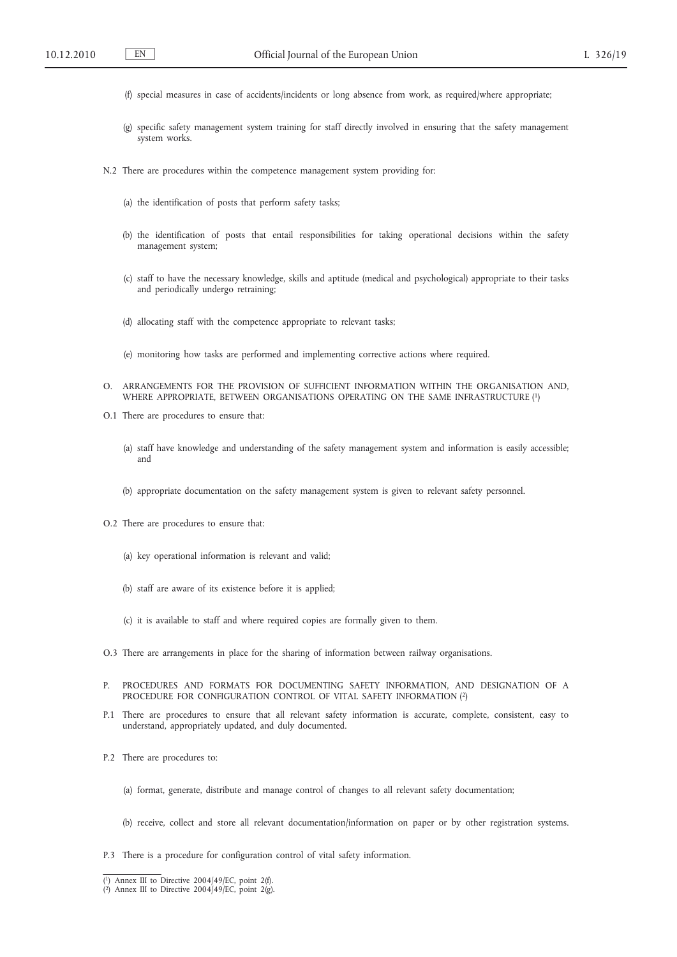- (f) special measures in case of accidents/incidents or long absence from work, as required/where appropriate;
- (g) specific safety management system training for staff directly involved in ensuring that the safety management system works.
- N.2 There are procedures within the competence management system providing for:
	- (a) the identification of posts that perform safety tasks;
	- (b) the identification of posts that entail responsibilities for taking operational decisions within the safety management system;
	- (c) staff to have the necessary knowledge, skills and aptitude (medical and psychological) appropriate to their tasks and periodically undergo retraining;
	- (d) allocating staff with the competence appropriate to relevant tasks;
	- (e) monitoring how tasks are performed and implementing corrective actions where required.
- O. ARRANGEMENTS FOR THE PROVISION OF SUFFICIENT INFORMATION WITHIN THE ORGANISATION AND, WHERE APPROPRIATE, BETWEEN ORGANISATIONS OPERATING ON THE SAME INFRASTRUCTURE (1)
- O.1 There are procedures to ensure that:
	- (a) staff have knowledge and understanding of the safety management system and information is easily accessible; and
	- (b) appropriate documentation on the safety management system is given to relevant safety personnel.
- O.2 There are procedures to ensure that:
	- (a) key operational information is relevant and valid;
	- (b) staff are aware of its existence before it is applied;
	- (c) it is available to staff and where required copies are formally given to them.
- O.3 There are arrangements in place for the sharing of information between railway organisations.
- P. PROCEDURES AND FORMATS FOR DOCUMENTING SAFETY INFORMATION, AND DESIGNATION OF A PROCEDURE FOR CONFIGURATION CONTROL OF VITAL SAFETY INFORMATION (2)
- P.1 There are procedures to ensure that all relevant safety information is accurate, complete, consistent, easy to understand, appropriately updated, and duly documented.
- P.2 There are procedures to:
	- (a) format, generate, distribute and manage control of changes to all relevant safety documentation;
	- (b) receive, collect and store all relevant documentation/information on paper or by other registration systems.
- P.3 There is a procedure for configuration control of vital safety information.

<sup>(</sup> $\alpha$ ) Annex III to Directive 2004/49/EC, point 2(f).<br>( $\alpha$ ) Annex III to Directive 2004/49/EC, point 2(g).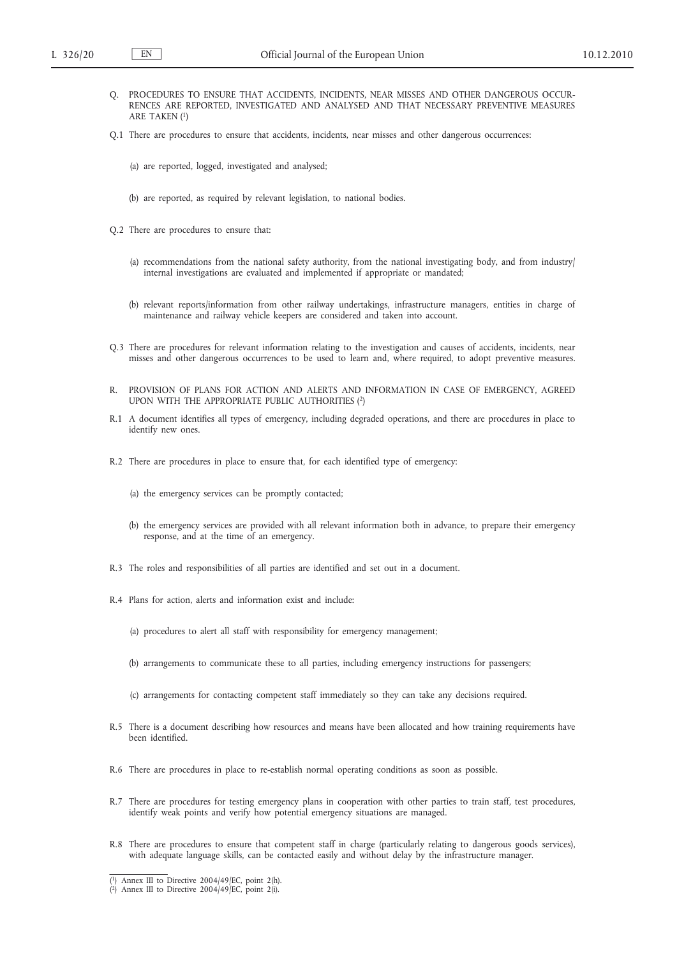- Q. PROCEDURES TO ENSURE THAT ACCIDENTS, INCIDENTS, NEAR MISSES AND OTHER DANGEROUS OCCUR-RENCES ARE REPORTED, INVESTIGATED AND ANALYSED AND THAT NECESSARY PREVENTIVE MEASURES ARE TAKEN (1)
- Q.1 There are procedures to ensure that accidents, incidents, near misses and other dangerous occurrences:
	- (a) are reported, logged, investigated and analysed;
	- (b) are reported, as required by relevant legislation, to national bodies.
- Q.2 There are procedures to ensure that:
	- (a) recommendations from the national safety authority, from the national investigating body, and from industry/ internal investigations are evaluated and implemented if appropriate or mandated;
	- (b) relevant reports/information from other railway undertakings, infrastructure managers, entities in charge of maintenance and railway vehicle keepers are considered and taken into account.
- Q.3 There are procedures for relevant information relating to the investigation and causes of accidents, incidents, near misses and other dangerous occurrences to be used to learn and, where required, to adopt preventive measures.
- R. PROVISION OF PLANS FOR ACTION AND ALERTS AND INFORMATION IN CASE OF EMERGENCY, AGREED UPON WITH THE APPROPRIATE PUBLIC AUTHORITIES (2)
- R.1 A document identifies all types of emergency, including degraded operations, and there are procedures in place to identify new ones.
- R.2 There are procedures in place to ensure that, for each identified type of emergency:
	- (a) the emergency services can be promptly contacted;
	- (b) the emergency services are provided with all relevant information both in advance, to prepare their emergency response, and at the time of an emergency.
- R.3 The roles and responsibilities of all parties are identified and set out in a document.
- R.4 Plans for action, alerts and information exist and include:
	- (a) procedures to alert all staff with responsibility for emergency management;
	- (b) arrangements to communicate these to all parties, including emergency instructions for passengers;
	- (c) arrangements for contacting competent staff immediately so they can take any decisions required.
- R.5 There is a document describing how resources and means have been allocated and how training requirements have been identified.
- R.6 There are procedures in place to re-establish normal operating conditions as soon as possible.
- R.7 There are procedures for testing emergency plans in cooperation with other parties to train staff, test procedures, identify weak points and verify how potential emergency situations are managed.
- R.8 There are procedures to ensure that competent staff in charge (particularly relating to dangerous goods services), with adequate language skills, can be contacted easily and without delay by the infrastructure manager.

<sup>(</sup> 1) Annex III to Directive 2004/49/EC, point 2(h). ( 2) Annex III to Directive 2004/49/EC, point 2(i).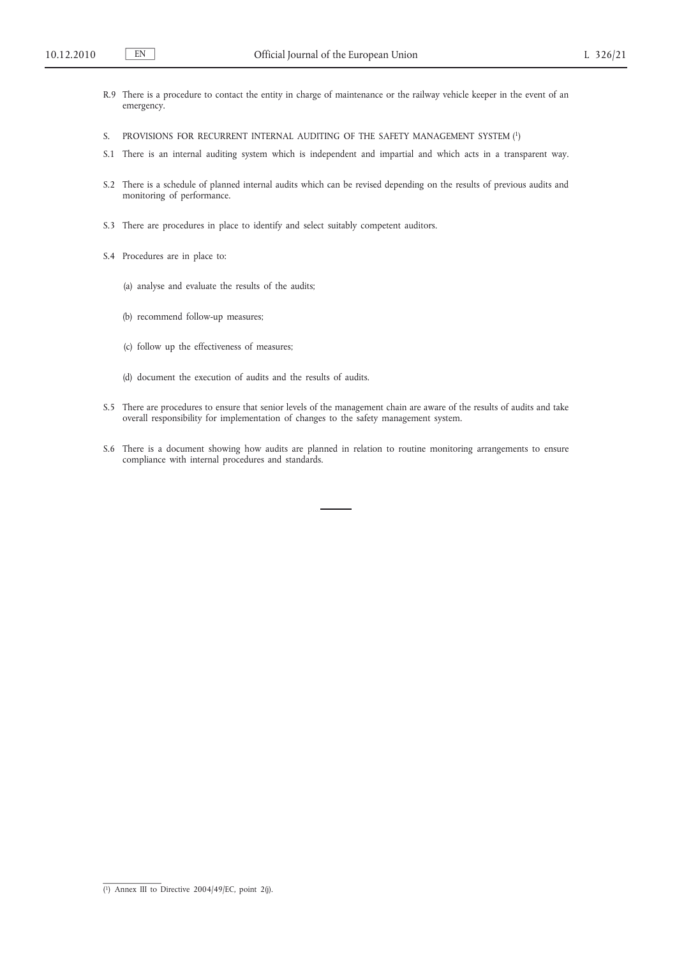- R.9 There is a procedure to contact the entity in charge of maintenance or the railway vehicle keeper in the event of an emergency.
- S. PROVISIONS FOR RECURRENT INTERNAL AUDITING OF THE SAFETY MANAGEMENT SYSTEM (1)
- S.1 There is an internal auditing system which is independent and impartial and which acts in a transparent way.
- S.2 There is a schedule of planned internal audits which can be revised depending on the results of previous audits and monitoring of performance.
- S.3 There are procedures in place to identify and select suitably competent auditors.
- S.4 Procedures are in place to:
	- (a) analyse and evaluate the results of the audits;
	- (b) recommend follow-up measures;
	- (c) follow up the effectiveness of measures;
	- (d) document the execution of audits and the results of audits.
- S.5 There are procedures to ensure that senior levels of the management chain are aware of the results of audits and take overall responsibility for implementation of changes to the safety management system.
- S.6 There is a document showing how audits are planned in relation to routine monitoring arrangements to ensure compliance with internal procedures and standards.

<sup>(</sup> 1) Annex III to Directive 2004/49/EC, point 2(j).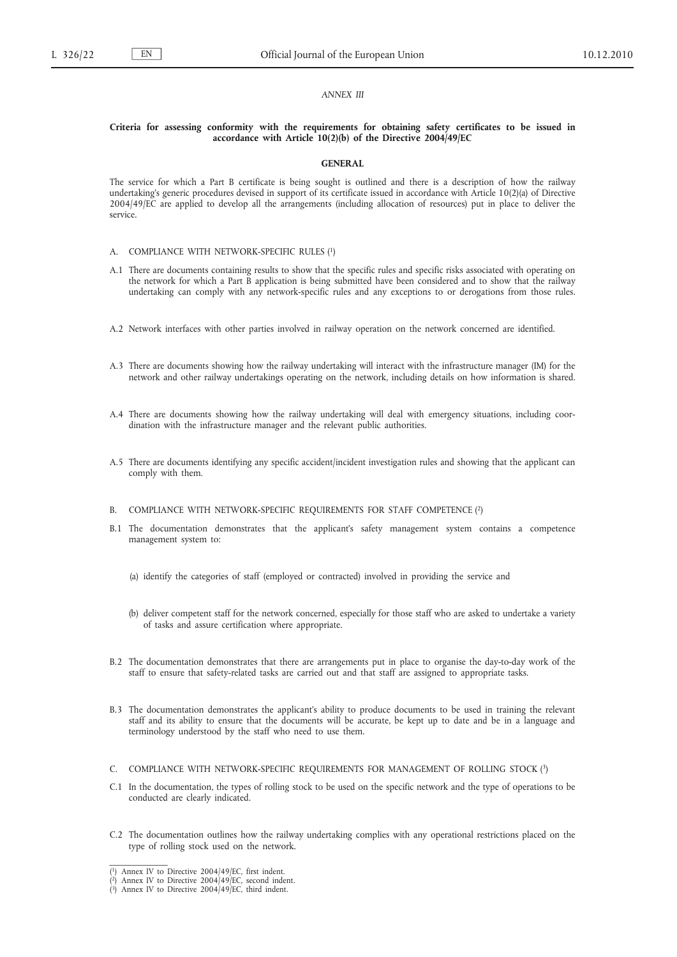#### *ANNEX III*

## **Criteria for assessing conformity with the requirements for obtaining safety certificates to be issued in accordance with Article 10(2)(b) of the Directive 2004/49/EC**

#### **GENERAL**

The service for which a Part B certificate is being sought is outlined and there is a description of how the railway undertaking's generic procedures devised in support of its certificate issued in accordance with Article 10(2)(a) of Directive 2004/49/EC are applied to develop all the arrangements (including allocation of resources) put in place to deliver the service.

- A. COMPLIANCE WITH NETWORK-SPECIFIC RULES (1)
- A.1 There are documents containing results to show that the specific rules and specific risks associated with operating on the network for which a Part B application is being submitted have been considered and to show that the railway undertaking can comply with any network-specific rules and any exceptions to or derogations from those rules.
- A.2 Network interfaces with other parties involved in railway operation on the network concerned are identified.
- A.3 There are documents showing how the railway undertaking will interact with the infrastructure manager (IM) for the network and other railway undertakings operating on the network, including details on how information is shared.
- A.4 There are documents showing how the railway undertaking will deal with emergency situations, including coordination with the infrastructure manager and the relevant public authorities.
- A.5 There are documents identifying any specific accident/incident investigation rules and showing that the applicant can comply with them.
- B. COMPLIANCE WITH NETWORK-SPECIFIC REQUIREMENTS FOR STAFF COMPETENCE (2)
- B.1 The documentation demonstrates that the applicant's safety management system contains a competence management system to:
	- (a) identify the categories of staff (employed or contracted) involved in providing the service and
	- (b) deliver competent staff for the network concerned, especially for those staff who are asked to undertake a variety of tasks and assure certification where appropriate.
- B.2 The documentation demonstrates that there are arrangements put in place to organise the day-to-day work of the staff to ensure that safety-related tasks are carried out and that staff are assigned to appropriate tasks.
- B.3 The documentation demonstrates the applicant's ability to produce documents to be used in training the relevant staff and its ability to ensure that the documents will be accurate, be kept up to date and be in a language and terminology understood by the staff who need to use them.
- C. COMPLIANCE WITH NETWORK-SPECIFIC REQUIREMENTS FOR MANAGEMENT OF ROLLING STOCK (3)
- C.1 In the documentation, the types of rolling stock to be used on the specific network and the type of operations to be conducted are clearly indicated.
- C.2 The documentation outlines how the railway undertaking complies with any operational restrictions placed on the type of rolling stock used on the network.

<sup>(</sup> 1) Annex IV to Directive 2004/49/EC, first indent.

<sup>(</sup> 2) Annex IV to Directive 2004/49/EC, second indent. ( 3) Annex IV to Directive 2004/49/EC, third indent.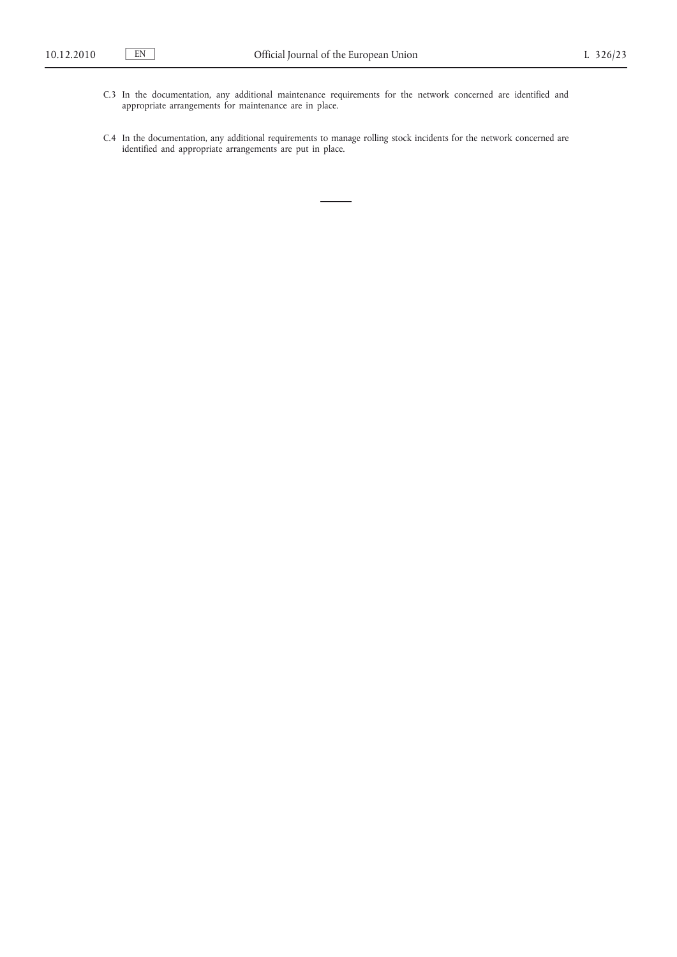- C.3 In the documentation, any additional maintenance requirements for the network concerned are identified and appropriate arrangements for maintenance are in place.
- C.4 In the documentation, any additional requirements to manage rolling stock incidents for the network concerned are identified and appropriate arrangements are put in place.